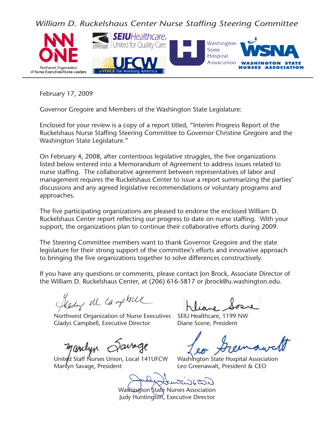*William D. Ruckelshaus Center Nurse Staffing Steering Committee*



February 17, 2009

Governor Gregoire and Members of the Washington State Legislature:

Enclosed for your review is a copy of a report titled, "Interim Progress Report of the Ruckelshaus Nurse Staffing Steering Committee to Governor Christine Gregoire and the Washington State Legislature."

On February 4, 2008, after contentious legislative struggles, the five organizations listed below entered into a Memorandum of Agreement to address issues related to nurse staffing. The collaborative agreement between representatives of labor and management requires the Ruckelshaus Center to issue a report summarizing the parties' discussions and any agreed legislative recommendations or voluntary programs and approaches.

The five participating organizations are pleased to endorse the enclosed William D. Ruckelshaus Center report reflecting our progress to date on nurse staffing. With your support, the organizations plan to continue their collaborative efforts during 2009.

The Steering Committee members want to thank Governor Gregoire and the state legislature for their strong support of the committee's efforts and innovative approach to bringing the five organizations together to solve differences constructively.

If you have any questions or comments, please contact Jon Brock, Associate Director of the William D. Ruckelshaus Center, at (206) 616-5817 or jbrock@u.washington.edu.

Hady the campbell

Northwest Organization of Nurse Executives Gladys Campbell, Executive Director

manulun

United Staff Nurses Union, Local 141UFCW Marilyn Savage, President

SEIU Healthcare, 1199 NW Diane Sosne, President

Washington State Hospital Association Leo Greenawalt, President & CEO

Washington State Nurses Association Judy Huntington, Executive Director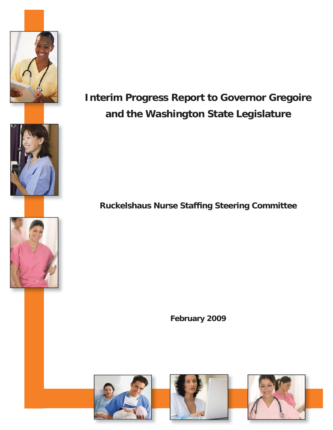



**Interim Progress Report to Governor Gregoire and the Washington State Legislature**

# **Ruckelshaus Nurse Staffing Steering Committee**

**February 2009**





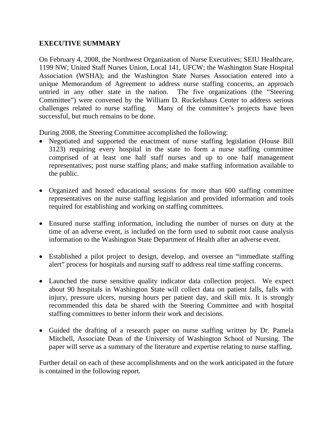### **EXECUTIVE SUMMARY**

On February 4, 2008, the Northwest Organization of Nurse Executives; SEIU Healthcare, 1199 NW; United Staff Nurses Union, Local 141, UFCW; the Washington State Hospital Association (WSHA); and the Washington State Nurses Association entered into a unique Memorandum of Agreement to address nurse staffing concerns, an approach untried in any other state in the nation. The five organizations (the "Steering Committee") were convened by the William D. Ruckelshaus Center to address serious challenges related to nurse staffing. Many of the committee's projects have been successful, but much remains to be done.

During 2008, the Steering Committee accomplished the following:

- Negotiated and supported the enactment of nurse staffing legislation (House Bill 3123) requiring every hospital in the state to form a nurse staffing committee comprised of at least one half staff nurses and up to one half management representatives; post nurse staffing plans; and make staffing information available to the public.
- Organized and hosted educational sessions for more than 600 staffing committee representatives on the nurse staffing legislation and provided information and tools required for establishing and working on staffing committees.
- Ensured nurse staffing information, including the number of nurses on duty at the time of an adverse event, is included on the form used to submit root cause analysis information to the Washington State Department of Health after an adverse event.
- Established a pilot project to design, develop, and oversee an "immediate staffing" alert" process for hospitals and nursing staff to address real time staffing concerns.
- Launched the nurse sensitive quality indicator data collection project. We expect about 90 hospitals in Washington State will collect data on patient falls, falls with injury, pressure ulcers, nursing hours per patient day, and skill mix. It is strongly recommended this data be shared with the Steering Committee and with hospital staffing committees to better inform their work and decisions.
- Guided the drafting of a research paper on nurse staffing written by Dr. Pamela Mitchell, Associate Dean of the University of Washington School of Nursing. The paper will serve as a summary of the literature and expertise relating to nurse staffing.

Further detail on each of these accomplishments and on the work anticipated in the future is contained in the following report.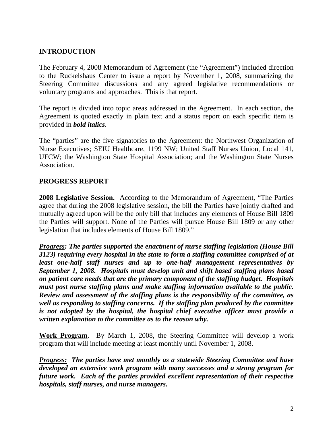# **INTRODUCTION**

The February 4, 2008 Memorandum of Agreement (the "Agreement") included direction to the Ruckelshaus Center to issue a report by November 1, 2008, summarizing the Steering Committee discussions and any agreed legislative recommendations or voluntary programs and approaches. This is that report.

The report is divided into topic areas addressed in the Agreement. In each section, the Agreement is quoted exactly in plain text and a status report on each specific item is provided in *bold italics*.

The "parties" are the five signatories to the Agreement: the Northwest Organization of Nurse Executives; SEIU Healthcare, 1199 NW; United Staff Nurses Union, Local 141, UFCW; the Washington State Hospital Association; and the Washington State Nurses Association.

### **PROGRESS REPORT**

**2008 Legislative Session.** According to the Memorandum of Agreement, "The Parties agree that during the 2008 legislative session, the bill the Parties have jointly drafted and mutually agreed upon will be the only bill that includes any elements of House Bill 1809 the Parties will support. None of the Parties will pursue House Bill 1809 or any other legislation that includes elements of House Bill 1809."

*Progress: The parties supported the enactment of nurse staffing legislation (House Bill 3123) requiring every hospital in the state to form a staffing committee comprised of at least one-half staff nurses and up to one-half management representatives by September 1, 2008. Hospitals must develop unit and shift based staffing plans based on patient care needs that are the primary component of the staffing budget. Hospitals must post nurse staffing plans and make staffing information available to the public. Review and assessment of the staffing plans is the responsibility of the committee, as well as responding to staffing concerns. If the staffing plan produced by the committee is not adopted by the hospital, the hospital chief executive officer must provide a written explanation to the committee as to the reason why.* 

**Work Program**. By March 1, 2008, the Steering Committee will develop a work program that will include meeting at least monthly until November 1, 2008.

*Progress: The parties have met monthly as a statewide Steering Committee and have developed an extensive work program with many successes and a strong program for future work. Each of the parties provided excellent representation of their respective hospitals, staff nurses, and nurse managers.*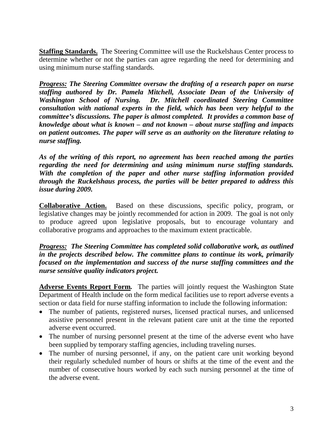**Staffing Standards.** The Steering Committee will use the Ruckelshaus Center process to determine whether or not the parties can agree regarding the need for determining and using minimum nurse staffing standards.

*Progress: The Steering Committee oversaw the drafting of a research paper on nurse staffing authored by Dr. Pamela Mitchell, Associate Dean of the University of Washington School of Nursing. Dr. Mitchell coordinated Steering Committee consultation with national experts in the field, which has been very helpful to the committee's discussions. The paper is almost completed. It provides a common base of knowledge about what is known – and not known – about nurse staffing and impacts on patient outcomes. The paper will serve as an authority on the literature relating to nurse staffing.* 

*As of the writing of this report, no agreement has been reached among the parties regarding the need for determining and using minimum nurse staffing standards. With the completion of the paper and other nurse staffing information provided through the Ruckelshaus process, the parties will be better prepared to address this issue during 2009.* 

**Collaborative Action.** Based on these discussions, specific policy, program, or legislative changes may be jointly recommended for action in 2009. The goal is not only to produce agreed upon legislative proposals, but to encourage voluntary and collaborative programs and approaches to the maximum extent practicable.

*Progress:**The Steering Committee has completed solid collaborative work, as outlined in the projects described below. The committee plans to continue its work, primarily focused on the implementation and success of the nurse staffing committees and the nurse sensitive quality indicators project.* 

**Adverse Events Report Form***.* The parties will jointly request the Washington State Department of Health include on the form medical facilities use to report adverse events a section or data field for nurse staffing information to include the following information:

- The number of patients, registered nurses, licensed practical nurses, and unlicensed assistive personnel present in the relevant patient care unit at the time the reported adverse event occurred.
- The number of nursing personnel present at the time of the adverse event who have been supplied by temporary staffing agencies, including traveling nurses.
- The number of nursing personnel, if any, on the patient care unit working beyond their regularly scheduled number of hours or shifts at the time of the event and the number of consecutive hours worked by each such nursing personnel at the time of the adverse event.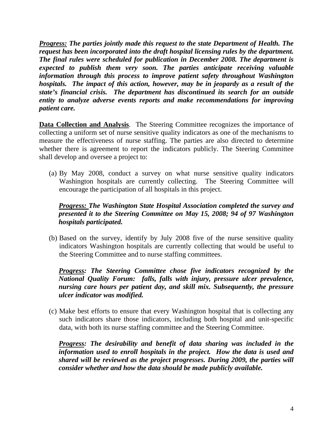*Progress: The parties jointly made this request to the state Department of Health. The request has been incorporated into the draft hospital licensing rules by the department. The final rules were scheduled for publication in December 2008. The department is expected to publish them very soon. The parties anticipate receiving valuable information through this process to improve patient safety throughout Washington hospitals. The impact of this action, however, may be in jeopardy as a result of the state's financial crisis. The department has discontinued its search for an outside entity to analyze adverse events reports and make recommendations for improving patient care.* 

**Data Collection and Analysis**. The Steering Committee recognizes the importance of collecting a uniform set of nurse sensitive quality indicators as one of the mechanisms to measure the effectiveness of nurse staffing. The parties are also directed to determine whether there is agreement to report the indicators publicly. The Steering Committee shall develop and oversee a project to:

(a) By May 2008, conduct a survey on what nurse sensitive quality indicators Washington hospitals are currently collecting. The Steering Committee will encourage the participation of all hospitals in this project.

# *Progress: The Washington State Hospital Association completed the survey and presented it to the Steering Committee on May 15, 2008; 94 of 97 Washington hospitals participated.*

(b) Based on the survey, identify by July 2008 five of the nurse sensitive quality indicators Washington hospitals are currently collecting that would be useful to the Steering Committee and to nurse staffing committees.

*Progress: The Steering Committee chose five indicators recognized by the National Quality Forum: falls, falls with injury, pressure ulcer prevalence, nursing care hours per patient day, and skill mix. Subsequently, the pressure ulcer indicator was modified.* 

(c) Make best efforts to ensure that every Washington hospital that is collecting any such indicators share those indicators, including both hospital and unit-specific data, with both its nurse staffing committee and the Steering Committee.

*Progress: The desirability and benefit of data sharing was included in the information used to enroll hospitals in the project. How the data is used and shared will be reviewed as the project progresses. During 2009, the parties will consider whether and how the data should be made publicly available.*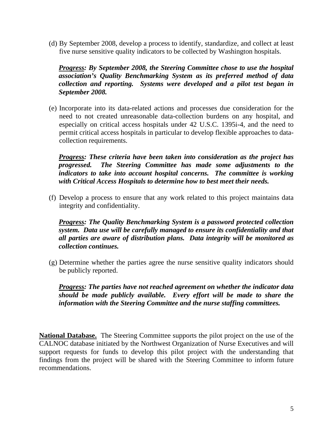(d) By September 2008, develop a process to identify, standardize, and collect at least five nurse sensitive quality indicators to be collected by Washington hospitals.

*Progress: By September 2008, the Steering Committee chose to use the hospital association's Quality Benchmarking System as its preferred method of data collection and reporting. Systems were developed and a pilot test began in September 2008.*

(e) Incorporate into its data-related actions and processes due consideration for the need to not created unreasonable data-collection burdens on any hospital, and especially on critical access hospitals under 42 U.S.C. 1395i-4, and the need to permit critical access hospitals in particular to develop flexible approaches to datacollection requirements.

*Progress: These criteria have been taken into consideration as the project has progressed. The Steering Committee has made some adjustments to the indicators to take into account hospital concerns. The committee is working with Critical Access Hospitals to determine how to best meet their needs.* 

(f) Develop a process to ensure that any work related to this project maintains data integrity and confidentiality.

*Progress: The Quality Benchmarking System is a password protected collection system. Data use will be carefully managed to ensure its confidentiality and that all parties are aware of distribution plans. Data integrity will be monitored as collection continues.* 

(g) Determine whether the parties agree the nurse sensitive quality indicators should be publicly reported.

*Progress: The parties have not reached agreement on whether the indicator data should be made publicly available. Every effort will be made to share the information with the Steering Committee and the nurse staffing committees.* 

**National Database.** The Steering Committee supports the pilot project on the use of the CALNOC database initiated by the Northwest Organization of Nurse Executives and will support requests for funds to develop this pilot project with the understanding that findings from the project will be shared with the Steering Committee to inform future recommendations.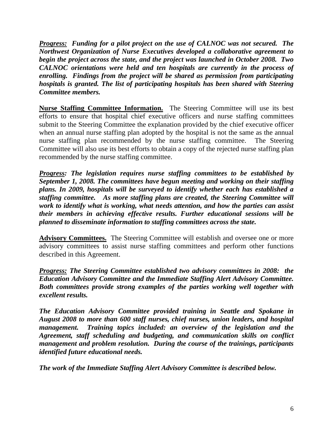*Progress: Funding for a pilot project on the use of CALNOC was not secured. The Northwest Organization of Nurse Executives developed a collaborative agreement to begin the project across the state, and the project was launched in October 2008. Two CALNOC orientations were held and ten hospitals are currently in the process of enrolling. Findings from the project will be shared as permission from participating hospitals is granted. The list of participating hospitals has been shared with Steering Committee members.* 

**Nurse Staffing Committee Information.** The Steering Committee will use its best efforts to ensure that hospital chief executive officers and nurse staffing committees submit to the Steering Committee the explanation provided by the chief executive officer when an annual nurse staffing plan adopted by the hospital is not the same as the annual nurse staffing plan recommended by the nurse staffing committee. The Steering Committee will also use its best efforts to obtain a copy of the rejected nurse staffing plan recommended by the nurse staffing committee.

*Progress: The legislation requires nurse staffing committees to be established by September 1, 2008. The committees have begun meeting and working on their staffing plans. In 2009, hospitals will be surveyed to identify whether each has established a staffing committee. As more staffing plans are created, the Steering Committee will work to identify what is working, what needs attention, and how the parties can assist their members in achieving effective results. Further educational sessions will be planned to disseminate information to staffing committees across the state.* 

**Advisory Committees.** The Steering Committee will establish and oversee one or more advisory committees to assist nurse staffing committees and perform other functions described in this Agreement.

*Progress: The Steering Committee established two advisory committees in 2008: the Education Advisory Committee and the Immediate Staffing Alert Advisory Committee. Both committees provide strong examples of the parties working well together with excellent results.* 

*The Education Advisory Committee provided training in Seattle and Spokane in August 2008 to more than 600 staff nurses, chief nurses, union leaders, and hospital management. Training topics included: an overview of the legislation and the Agreement, staff scheduling and budgeting, and communication skills on conflict management and problem resolution. During the course of the trainings, participants identified future educational needs.* 

*The work of the Immediate Staffing Alert Advisory Committee is described below.*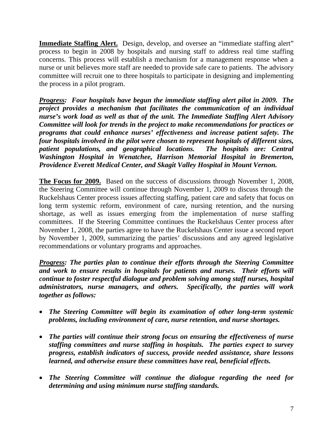**Immediate Staffing Alert.** Design, develop, and oversee an "immediate staffing alert" process to begin in 2008 by hospitals and nursing staff to address real time staffing concerns. This process will establish a mechanism for a management response when a nurse or unit believes more staff are needed to provide safe care to patients. The advisory committee will recruit one to three hospitals to participate in designing and implementing the process in a pilot program.

*Progress: Four hospitals have begun the immediate staffing alert pilot in 2009. The project provides a mechanism that facilitates the communication of an individual nurse's work load as well as that of the unit. The Immediate Staffing Alert Advisory Committee will look for trends in the project to make recommendations for practices or programs that could enhance nurses' effectiveness and increase patient safety. The four hospitals involved in the pilot were chosen to represent hospitals of different sizes, patient populations, and geographical locations. The hospitals are: Central Washington Hospital in Wenatchee, Harrison Memorial Hospital in Bremerton, Providence Everett Medical Center, and Skagit Valley Hospital in Mount Vernon.* 

**The Focus for 2009.** Based on the success of discussions through November 1, 2008, the Steering Committee will continue through November 1, 2009 to discuss through the Ruckelshaus Center process issues affecting staffing, patient care and safety that focus on long term systemic reform, environment of care, nursing retention, and the nursing shortage, as well as issues emerging from the implementation of nurse staffing committees. If the Steering Committee continues the Ruckelshaus Center process after November 1, 2008, the parties agree to have the Ruckelshaus Center issue a second report by November 1, 2009, summarizing the parties' discussions and any agreed legislative recommendations or voluntary programs and approaches.

*Progress: The parties plan to continue their efforts through the Steering Committee and work to ensure results in hospitals for patients and nurses. Their efforts will continue to foster respectful dialogue and problem solving among staff nurses, hospital administrators, nurse managers, and others. Specifically, the parties will work together as follows:* 

- *The Steering Committee will begin its examination of other long-term systemic problems, including environment of care, nurse retention, and nurse shortages.*
- *The parties will continue their strong focus on ensuring the effectiveness of nurse staffing committees and nurse staffing in hospitals. The parties expect to survey progress, establish indicators of success, provide needed assistance, share lessons learned, and otherwise ensure these committees have real, beneficial effects.*
- *The Steering Committee will continue the dialogue regarding the need for determining and using minimum nurse staffing standards.*